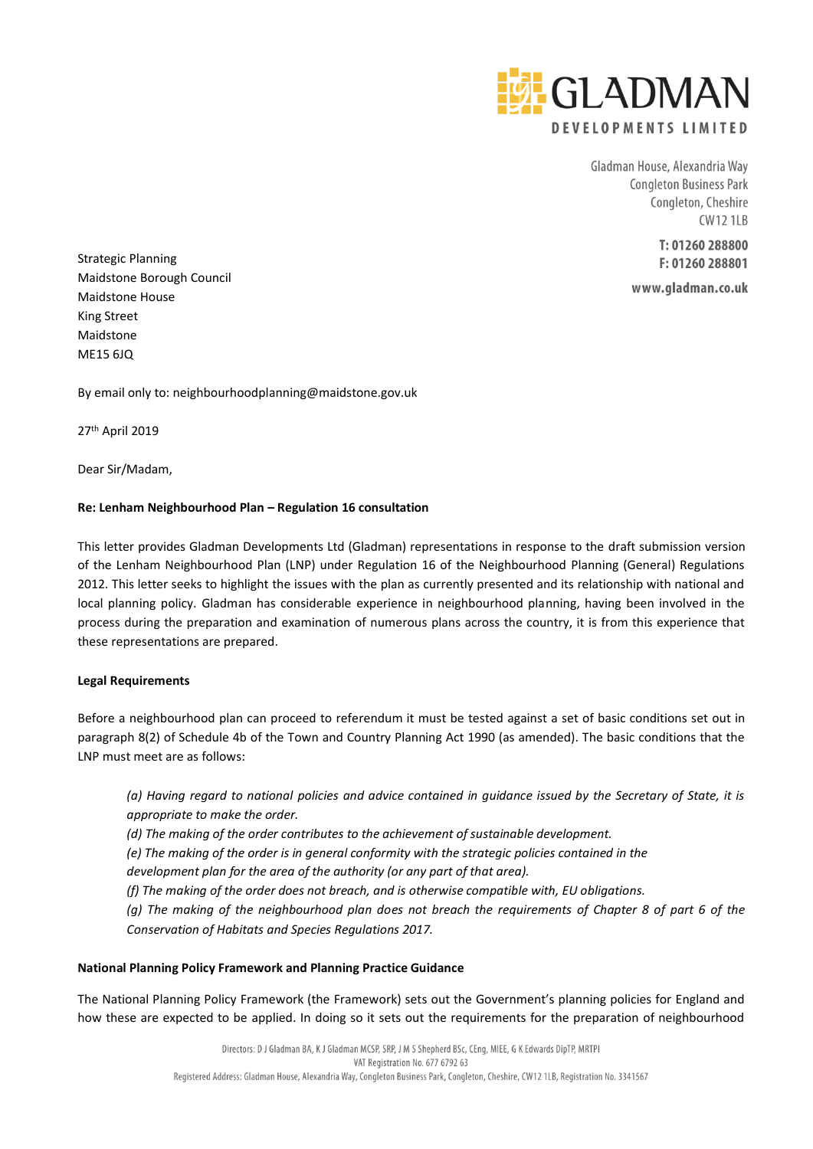

Gladman House, Alexandria Way **Congleton Business Park** Congleton, Cheshire **CW12 1LB** 

> T: 01260 288800 F: 01260 288801

www.gladman.co.uk

Strategic Planning Maidstone Borough Council Maidstone House King Street Maidstone ME15 6JQ

By email only to: neighbourhoodplanning@maidstone.gov.uk

27 th April 2019

Dear Sir/Madam,

## **Re: Lenham Neighbourhood Plan – Regulation 16 consultation**

This letter provides Gladman Developments Ltd (Gladman) representations in response to the draft submission version of the Lenham Neighbourhood Plan (LNP) under Regulation 16 of the Neighbourhood Planning (General) Regulations 2012. This letter seeks to highlight the issues with the plan as currently presented and its relationship with national and local planning policy. Gladman has considerable experience in neighbourhood planning, having been involved in the process during the preparation and examination of numerous plans across the country, it is from this experience that these representations are prepared.

### **Legal Requirements**

Before a neighbourhood plan can proceed to referendum it must be tested against a set of basic conditions set out in paragraph 8(2) of Schedule 4b of the Town and Country Planning Act 1990 (as amended). The basic conditions that the LNP must meet are as follows:

*(a) Having regard to national policies and advice contained in guidance issued by the Secretary of State, it is appropriate to make the order.*

*(d) The making of the order contributes to the achievement of sustainable development.*

*(e) The making of the order is in general conformity with the strategic policies contained in the*

*development plan for the area of the authority (or any part of that area).*

*(f) The making of the order does not breach, and is otherwise compatible with, EU obligations.*

*(g) The making of the neighbourhood plan does not breach the requirements of Chapter 8 of part 6 of the Conservation of Habitats and Species Regulations 2017.* 

### **National Planning Policy Framework and Planning Practice Guidance**

The National Planning Policy Framework (the Framework) sets out the Government's planning policies for England and how these are expected to be applied. In doing so it sets out the requirements for the preparation of neighbourhood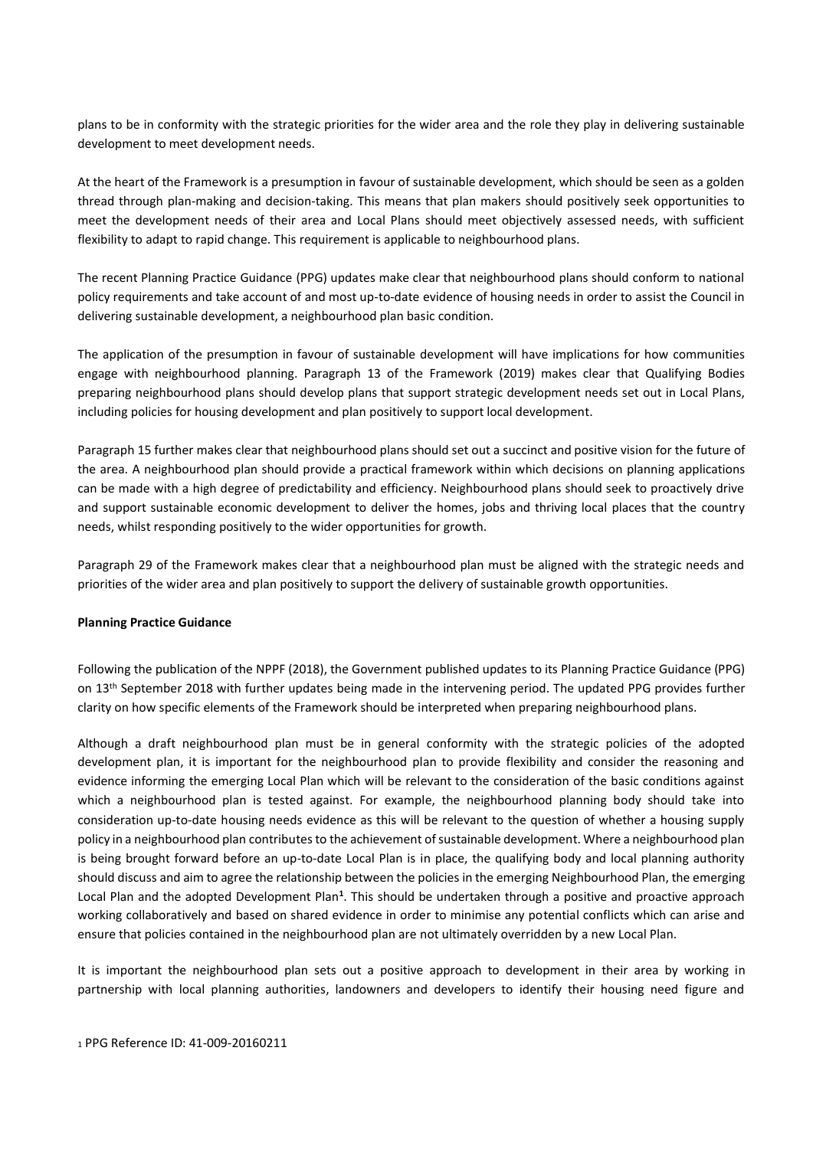plans to be in conformity with the strategic priorities for the wider area and the role they play in delivering sustainable development to meet development needs.

At the heart of the Framework is a presumption in favour of sustainable development, which should be seen as a golden thread through plan-making and decision-taking. This means that plan makers should positively seek opportunities to meet the development needs of their area and Local Plans should meet objectively assessed needs, with sufficient flexibility to adapt to rapid change. This requirement is applicable to neighbourhood plans.

The recent Planning Practice Guidance (PPG) updates make clear that neighbourhood plans should conform to national policy requirements and take account of and most up-to-date evidence of housing needs in order to assist the Council in delivering sustainable development, a neighbourhood plan basic condition.

The application of the presumption in favour of sustainable development will have implications for how communities engage with neighbourhood planning. Paragraph 13 of the Framework (2019) makes clear that Qualifying Bodies preparing neighbourhood plans should develop plans that support strategic development needs set out in Local Plans, including policies for housing development and plan positively to support local development.

Paragraph 15 further makes clear that neighbourhood plans should set out a succinct and positive vision for the future of the area. A neighbourhood plan should provide a practical framework within which decisions on planning applications can be made with a high degree of predictability and efficiency. Neighbourhood plans should seek to proactively drive and support sustainable economic development to deliver the homes, jobs and thriving local places that the country needs, whilst responding positively to the wider opportunities for growth.

Paragraph 29 of the Framework makes clear that a neighbourhood plan must be aligned with the strategic needs and priorities of the wider area and plan positively to support the delivery of sustainable growth opportunities.

### **Planning Practice Guidance**

Following the publication of the NPPF (2018), the Government published updates to its Planning Practice Guidance (PPG) on 13<sup>th</sup> September 2018 with further updates being made in the intervening period. The updated PPG provides further clarity on how specific elements of the Framework should be interpreted when preparing neighbourhood plans.

Although a draft neighbourhood plan must be in general conformity with the strategic policies of the adopted development plan, it is important for the neighbourhood plan to provide flexibility and consider the reasoning and evidence informing the emerging Local Plan which will be relevant to the consideration of the basic conditions against which a neighbourhood plan is tested against. For example, the neighbourhood planning body should take into consideration up-to-date housing needs evidence as this will be relevant to the question of whether a housing supply policy in a neighbourhood plan contributes to the achievement of sustainable development. Where a neighbourhood plan is being brought forward before an up-to-date Local Plan is in place, the qualifying body and local planning authority should discuss and aim to agree the relationship between the policies in the emerging Neighbourhood Plan, the emerging Local Plan and the adopted Development Plan**<sup>1</sup>** . This should be undertaken through a positive and proactive approach working collaboratively and based on shared evidence in order to minimise any potential conflicts which can arise and ensure that policies contained in the neighbourhood plan are not ultimately overridden by a new Local Plan.

It is important the neighbourhood plan sets out a positive approach to development in their area by working in partnership with local planning authorities, landowners and developers to identify their housing need figure and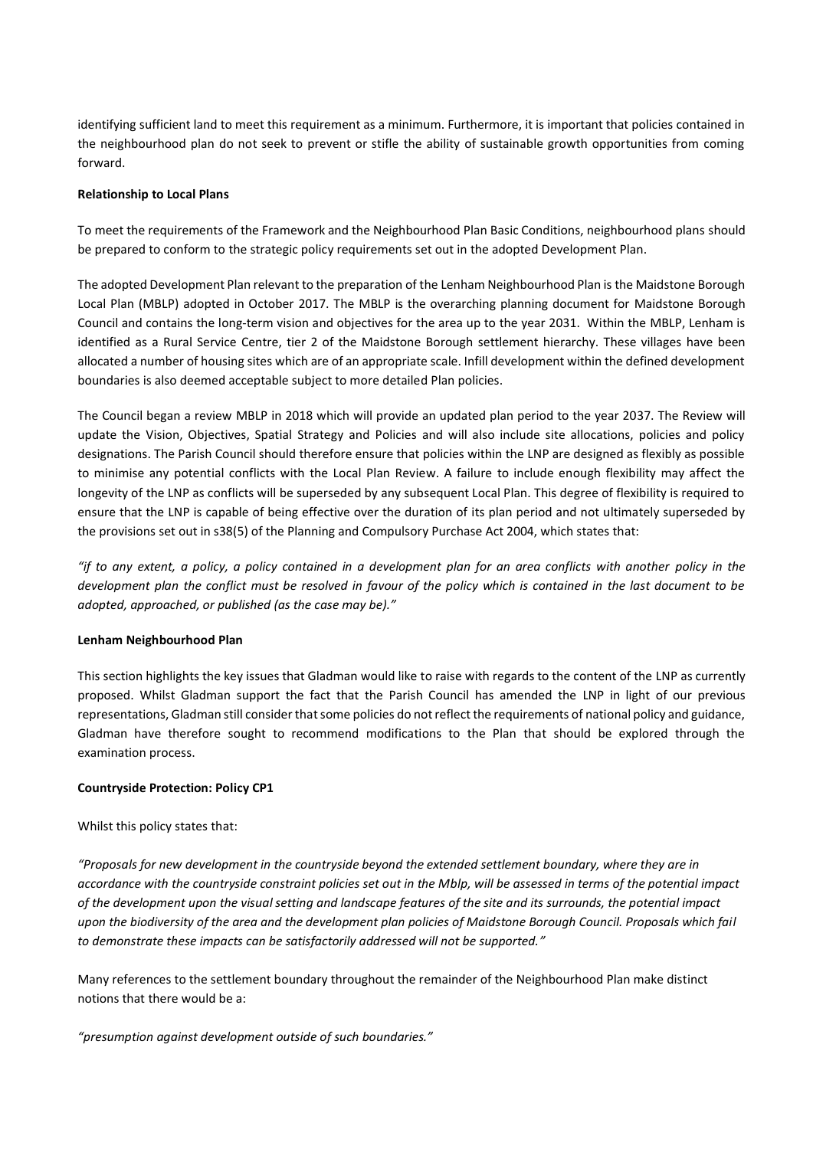identifying sufficient land to meet this requirement as a minimum. Furthermore, it is important that policies contained in the neighbourhood plan do not seek to prevent or stifle the ability of sustainable growth opportunities from coming forward.

### **Relationship to Local Plans**

To meet the requirements of the Framework and the Neighbourhood Plan Basic Conditions, neighbourhood plans should be prepared to conform to the strategic policy requirements set out in the adopted Development Plan.

The adopted Development Plan relevant to the preparation of the Lenham Neighbourhood Plan is the Maidstone Borough Local Plan (MBLP) adopted in October 2017. The MBLP is the overarching planning document for Maidstone Borough Council and contains the long-term vision and objectives for the area up to the year 2031. Within the MBLP, Lenham is identified as a Rural Service Centre, tier 2 of the Maidstone Borough settlement hierarchy. These villages have been allocated a number of housing sites which are of an appropriate scale. Infill development within the defined development boundaries is also deemed acceptable subject to more detailed Plan policies.

The Council began a review MBLP in 2018 which will provide an updated plan period to the year 2037. The Review will update the Vision, Objectives, Spatial Strategy and Policies and will also include site allocations, policies and policy designations. The Parish Council should therefore ensure that policies within the LNP are designed as flexibly as possible to minimise any potential conflicts with the Local Plan Review. A failure to include enough flexibility may affect the longevity of the LNP as conflicts will be superseded by any subsequent Local Plan. This degree of flexibility is required to ensure that the LNP is capable of being effective over the duration of its plan period and not ultimately superseded by the provisions set out in s38(5) of the Planning and Compulsory Purchase Act 2004, which states that:

*"if to any extent, a policy, a policy contained in a development plan for an area conflicts with another policy in the development plan the conflict must be resolved in favour of the policy which is contained in the last document to be adopted, approached, or published (as the case may be)."*

### **Lenham Neighbourhood Plan**

This section highlights the key issues that Gladman would like to raise with regards to the content of the LNP as currently proposed. Whilst Gladman support the fact that the Parish Council has amended the LNP in light of our previous representations, Gladman still consider that some policies do not reflect the requirements of national policy and guidance, Gladman have therefore sought to recommend modifications to the Plan that should be explored through the examination process.

# **Countryside Protection: Policy CP1**

Whilst this policy states that:

*"Proposals for new development in the countryside beyond the extended settlement boundary, where they are in accordance with the countryside constraint policies set out in the Mblp, will be assessed in terms of the potential impact of the development upon the visual setting and landscape features of the site and its surrounds, the potential impact upon the biodiversity of the area and the development plan policies of Maidstone Borough Council. Proposals which fail to demonstrate these impacts can be satisfactorily addressed will not be supported."*

Many references to the settlement boundary throughout the remainder of the Neighbourhood Plan make distinct notions that there would be a:

*"presumption against development outside of such boundaries."*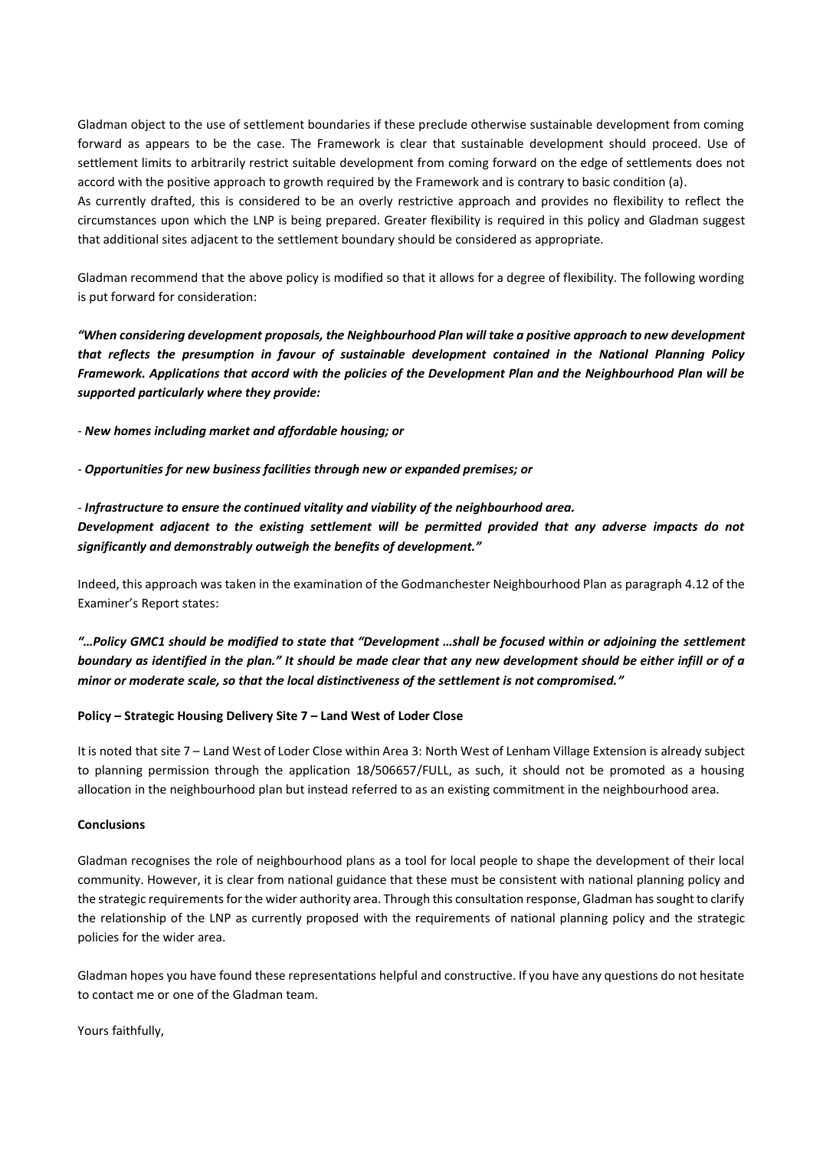Gladman object to the use of settlement boundaries if these preclude otherwise sustainable development from coming forward as appears to be the case. The Framework is clear that sustainable development should proceed. Use of settlement limits to arbitrarily restrict suitable development from coming forward on the edge of settlements does not accord with the positive approach to growth required by the Framework and is contrary to basic condition (a). As currently drafted, this is considered to be an overly restrictive approach and provides no flexibility to reflect the

circumstances upon which the LNP is being prepared. Greater flexibility is required in this policy and Gladman suggest that additional sites adjacent to the settlement boundary should be considered as appropriate.

Gladman recommend that the above policy is modified so that it allows for a degree of flexibility. The following wording is put forward for consideration:

*"When considering development proposals, the Neighbourhood Plan will take a positive approach to new development that reflects the presumption in favour of sustainable development contained in the National Planning Policy Framework. Applications that accord with the policies of the Development Plan and the Neighbourhood Plan will be supported particularly where they provide:*

*- New homes including market and affordable housing; or*

*- Opportunities for new business facilities through new or expanded premises; or*

*- Infrastructure to ensure the continued vitality and viability of the neighbourhood area. Development adjacent to the existing settlement will be permitted provided that any adverse impacts do not significantly and demonstrably outweigh the benefits of development."*

Indeed, this approach was taken in the examination of the Godmanchester Neighbourhood Plan as paragraph 4.12 of the Examiner's Report states:

*"…Policy GMC1 should be modified to state that "Development …shall be focused within or adjoining the settlement boundary as identified in the plan." It should be made clear that any new development should be either infill or of a minor or moderate scale, so that the local distinctiveness of the settlement is not compromised."*

### **Policy – Strategic Housing Delivery Site 7 – Land West of Loder Close**

It is noted that site 7 – Land West of Loder Close within Area 3: North West of Lenham Village Extension is already subject to planning permission through the application 18/506657/FULL, as such, it should not be promoted as a housing allocation in the neighbourhood plan but instead referred to as an existing commitment in the neighbourhood area.

### **Conclusions**

Gladman recognises the role of neighbourhood plans as a tool for local people to shape the development of their local community. However, it is clear from national guidance that these must be consistent with national planning policy and the strategic requirements for the wider authority area. Through this consultation response, Gladman has sought to clarify the relationship of the LNP as currently proposed with the requirements of national planning policy and the strategic policies for the wider area.

Gladman hopes you have found these representations helpful and constructive. If you have any questions do not hesitate to contact me or one of the Gladman team.

Yours faithfully,